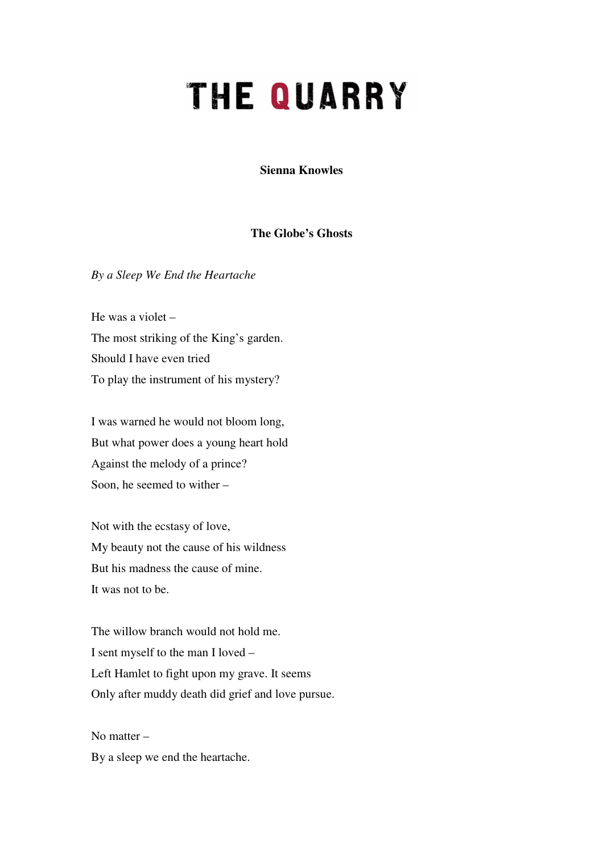## **THE QUARRY**

**Sienna Knowles** 

## **The Globe's Ghosts**

*By a Sleep We End the Heartache* 

He was a violet – The most striking of the King's garden. Should I have even tried To play the instrument of his mystery?

I was warned he would not bloom long, But what power does a young heart hold Against the melody of a prince? Soon, he seemed to wither –

Not with the ecstasy of love, My beauty not the cause of his wildness But his madness the cause of mine. It was not to be.

The willow branch would not hold me. I sent myself to the man I loved – Left Hamlet to fight upon my grave. It seems Only after muddy death did grief and love pursue.

No matter – By a sleep we end the heartache.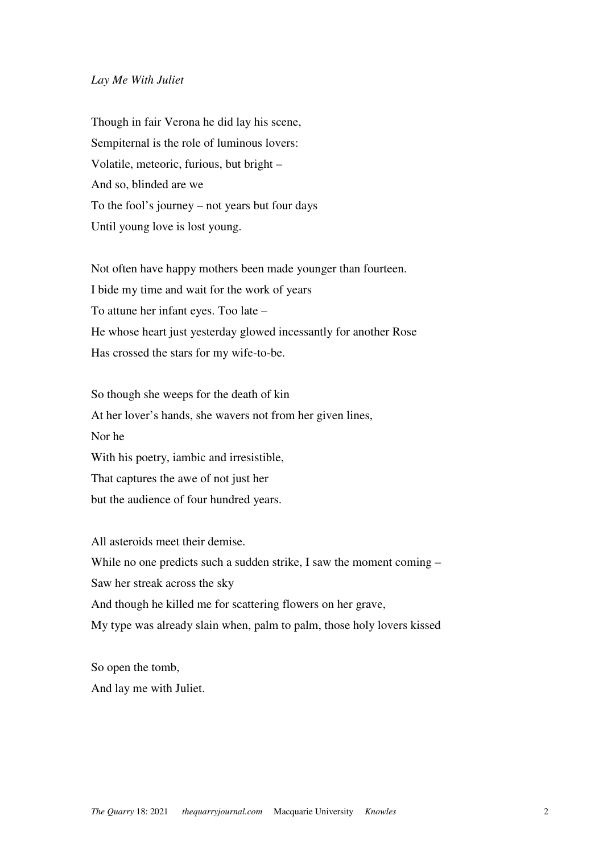## *Lay Me With Juliet*

Though in fair Verona he did lay his scene, Sempiternal is the role of luminous lovers: Volatile, meteoric, furious, but bright – And so, blinded are we To the fool's journey – not years but four days Until young love is lost young.

Not often have happy mothers been made younger than fourteen. I bide my time and wait for the work of years To attune her infant eyes. Too late – He whose heart just yesterday glowed incessantly for another Rose Has crossed the stars for my wife-to-be.

So though she weeps for the death of kin At her lover's hands, she wavers not from her given lines, Nor he With his poetry, iambic and irresistible, That captures the awe of not just her but the audience of four hundred years.

All asteroids meet their demise. While no one predicts such a sudden strike, I saw the moment coming – Saw her streak across the sky And though he killed me for scattering flowers on her grave, My type was already slain when, palm to palm, those holy lovers kissed

So open the tomb, And lay me with Juliet.